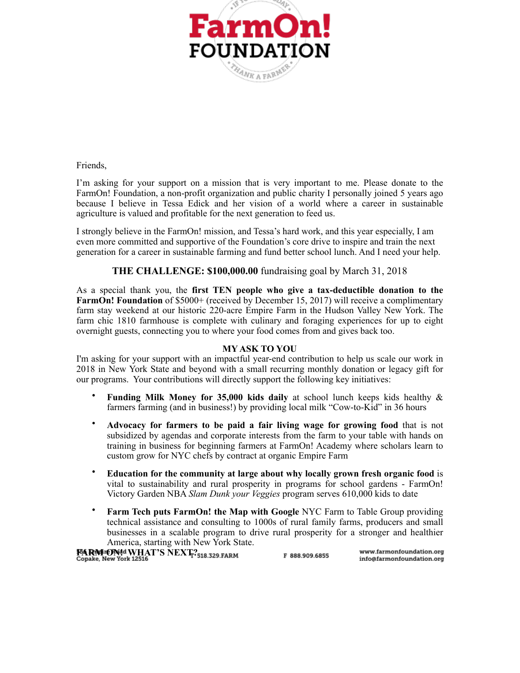

Friends,

I'm asking for your support on a mission that is very important to me. Please donate to the FarmOn! Foundation, a non-profit organization and public charity I personally joined 5 years ago because I believe in Tessa Edick and her vision of a world where a career in sustainable agriculture is valued and profitable for the next generation to feed us.

I strongly believe in the FarmOn! mission, and Tessa's hard work, and this year especially, I am even more committed and supportive of the Foundation's core drive to inspire and train the next generation for a career in sustainable farming and fund better school lunch. And I need your help.

# **THE CHALLENGE: \$100,000.00** fundraising goal by March 31, 2018

As a special thank you, the **first TEN people who give a tax-deductible donation to the FarmOn! Foundation** of \$5000+ (received by December 15, 2017) will receive a complimentary farm stay weekend at our historic 220-acre Empire Farm in the Hudson Valley New York. The farm chic 1810 farmhouse is complete with culinary and foraging experiences for up to eight overnight guests, connecting you to where your food comes from and gives back too.

## **MY ASK TO YOU**

I'm asking for your support with an impactful year-end contribution to help us scale our work in 2018 in New York State and beyond with a small recurring monthly donation or legacy gift for our programs. Your contributions will directly support the following key initiatives:

- **Funding Milk Money for 35,000 kids daily** at school lunch keeps kids healthy & farmers farming (and in business!) by providing local milk "Cow-to-Kid" in 36 hours
- **Advocacy for farmers to be paid a fair living wage for growing food** that is not subsidized by agendas and corporate interests from the farm to your table with hands on training in business for beginning farmers at FarmOn! Academy where scholars learn to custom grow for NYC chefs by contract at organic Empire Farm
- **Education for the community at large about why locally grown fresh organic food** is vital to sustainability and rural prosperity in programs for school gardens - FarmOn! Victory Garden NBA *Slam Dunk your Veggies* program serves 610,000 kids to date
- **Farm Tech puts FarmOn! the Map with Google** NYC Farm to Table Group providing technical assistance and consulting to 1000s of rural family farms, producers and small businesses in a scalable program to drive rural prosperity for a stronger and healthier America, starting with New York State.

**FARM ONd WHAT'S NEXT?**<br>Copake, New York 12516 www.farmonfoundation.org F 888.909.6855 info@farmonfoundation.org